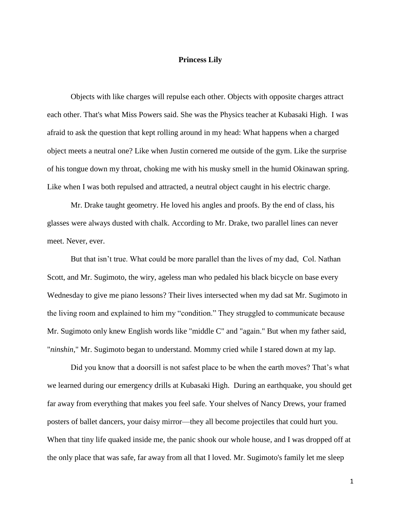## **Princess Lily**

Objects with like charges will repulse each other. Objects with opposite charges attract each other. That's what Miss Powers said. She was the Physics teacher at Kubasaki High. I was afraid to ask the question that kept rolling around in my head: What happens when a charged object meets a neutral one? Like when Justin cornered me outside of the gym. Like the surprise of his tongue down my throat, choking me with his musky smell in the humid Okinawan spring. Like when I was both repulsed and attracted, a neutral object caught in his electric charge.

Mr. Drake taught geometry. He loved his angles and proofs. By the end of class, his glasses were always dusted with chalk. According to Mr. Drake, two parallel lines can never meet. Never, ever.

But that isn't true. What could be more parallel than the lives of my dad, Col. Nathan Scott, and Mr. Sugimoto, the wiry, ageless man who pedaled his black bicycle on base every Wednesday to give me piano lessons? Their lives intersected when my dad sat Mr. Sugimoto in the living room and explained to him my "condition." They struggled to communicate because Mr. Sugimoto only knew English words like "middle C" and "again." But when my father said, "*ninshin*," Mr. Sugimoto began to understand. Mommy cried while I stared down at my lap.

Did you know that a doorsill is not safest place to be when the earth moves? That's what we learned during our emergency drills at Kubasaki High. During an earthquake, you should get far away from everything that makes you feel safe. Your shelves of Nancy Drews, your framed posters of ballet dancers, your daisy mirror—they all become projectiles that could hurt you. When that tiny life quaked inside me, the panic shook our whole house, and I was dropped off at the only place that was safe, far away from all that I loved. Mr. Sugimoto's family let me sleep